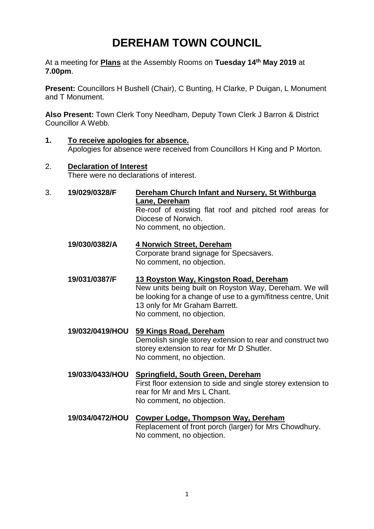# **DEREHAM TOWN COUNCIL**

At a meeting for **Plans** at the Assembly Rooms on **Tuesday 14th May 2019** at **7.00pm**.

**Present:** Councillors H Bushell (Chair), C Bunting, H Clarke, P Duigan, L Monument and T Monument.

**Also Present:** Town Clerk Tony Needham, Deputy Town Clerk J Barron & District Councillor A Webb.

- **1. To receive apologies for absence.**  Apologies for absence were received from Councillors H King and P Morton.
- 2. **Declaration of Interest** There were no declarations of interest.
- 3. **19/029/0328/F Dereham Church Infant and Nursery, St Withburga Lane, Dereham** Re-roof of existing flat roof and pitched roof areas for Diocese of Norwich. No comment, no objection.
	- **19/030/0382/A 4 Norwich Street, Dereham** Corporate brand signage for Specsavers. No comment, no objection.
	- **19/031/0387/F 13 Royston Way, Kingston Road, Dereham** New units being built on Royston Way, Dereham. We will be looking for a change of use to a gym/fitness centre, Unit 13 only for Mr Graham Barrett. No comment, no objection.
	- **19/032/0419/HOU 59 Kings Road, Dereham** Demolish single storey extension to rear and construct two storey extension to rear for Mr D Shutler. No comment, no objection.
	- **19/033/0433/HOU Springfield, South Green, Dereham** First floor extension to side and single storey extension to rear for Mr and Mrs L Chant. No comment, no objection.
	- **19/034/0472/HOU Cowper Lodge, Thompson Way, Dereham** Replacement of front porch (larger) for Mrs Chowdhury. No comment, no objection.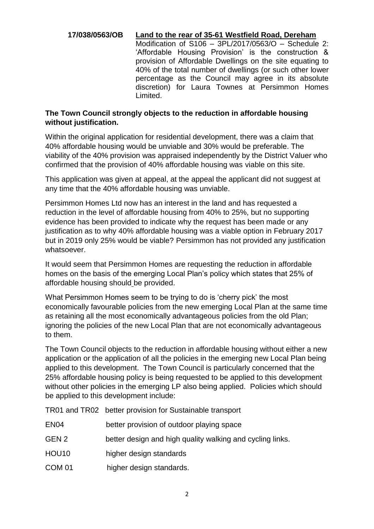# **17/038/0563/OB Land to the rear of 35-61 Westfield Road, Dereham**

Modification of S106 – 3PL/2017/0563/O – Schedule 2: 'Affordable Housing Provision' is the construction & provision of Affordable Dwellings on the site equating to 40% of the total number of dwellings (or such other lower percentage as the Council may agree in its absolute discretion) for Laura Townes at Persimmon Homes Limited.

#### **The Town Council strongly objects to the reduction in affordable housing without justification.**

Within the original application for residential development, there was a claim that 40% affordable housing would be unviable and 30% would be preferable. The viability of the 40% provision was appraised independently by the District Valuer who confirmed that the provision of 40% affordable housing was viable on this site.

This application was given at appeal, at the appeal the applicant did not suggest at any time that the 40% affordable housing was unviable.

Persimmon Homes Ltd now has an interest in the land and has requested a reduction in the level of affordable housing from 40% to 25%, but no supporting evidence has been provided to indicate why the request has been made or any justification as to why 40% affordable housing was a viable option in February 2017 but in 2019 only 25% would be viable? Persimmon has not provided any justification whatsoever.

It would seem that Persimmon Homes are requesting the reduction in affordable homes on the basis of the emerging Local Plan's policy which states that 25% of affordable housing should be provided.

What Persimmon Homes seem to be trying to do is 'cherry pick' the most economically favourable policies from the new emerging Local Plan at the same time as retaining all the most economically advantageous policies from the old Plan; ignoring the policies of the new Local Plan that are not economically advantageous to them.

The Town Council objects to the reduction in affordable housing without either a new application or the application of all the policies in the emerging new Local Plan being applied to this development. The Town Council is particularly concerned that the 25% affordable housing policy is being requested to be applied to this development without other policies in the emerging LP also being applied. Policies which should be applied to this development include:

TR01 and TR02 better provision for Sustainable transport

| EN <sub>04</sub> | better provision of outdoor playing space                 |
|------------------|-----------------------------------------------------------|
| GEN 2            | better design and high quality walking and cycling links. |
| HOU10            | higher design standards                                   |

COM 01 higher design standards.